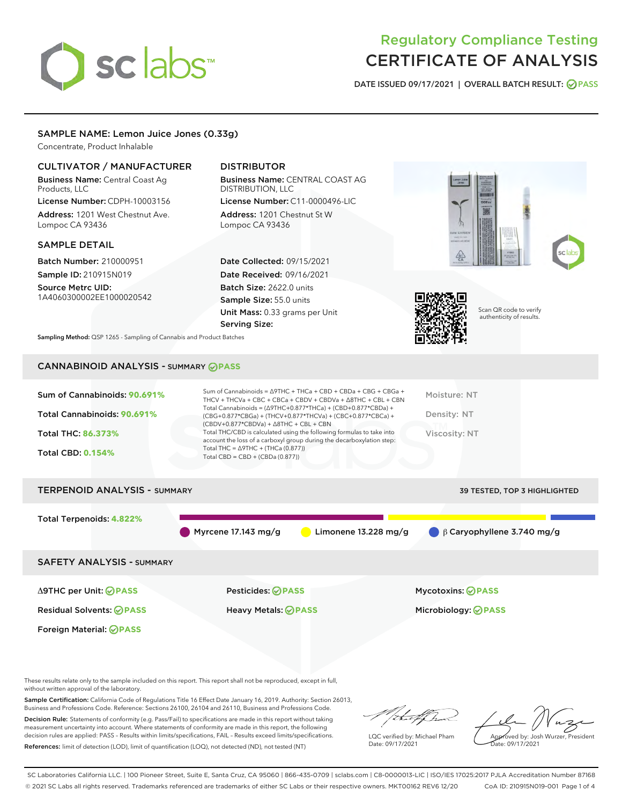# sclabs

# Regulatory Compliance Testing CERTIFICATE OF ANALYSIS

DATE ISSUED 09/17/2021 | OVERALL BATCH RESULT: @ PASS

#### SAMPLE NAME: Lemon Juice Jones (0.33g)

Concentrate, Product Inhalable

#### CULTIVATOR / MANUFACTURER

Business Name: Central Coast Ag Products, LLC

License Number: CDPH-10003156 Address: 1201 West Chestnut Ave. Lompoc CA 93436

#### SAMPLE DETAIL

Batch Number: 210000951 Sample ID: 210915N019

Source Metrc UID: 1A4060300002EE1000020542

## DISTRIBUTOR

Business Name: CENTRAL COAST AG DISTRIBUTION, LLC License Number: C11-0000496-LIC

Address: 1201 Chestnut St W Lompoc CA 93436

Date Collected: 09/15/2021 Date Received: 09/16/2021 Batch Size: 2622.0 units Sample Size: 55.0 units Unit Mass: 0.33 grams per Unit Serving Size:





Scan QR code to verify authenticity of results.

Sampling Method: QSP 1265 - Sampling of Cannabis and Product Batches

# CANNABINOID ANALYSIS - SUMMARY **PASS**

| Sum of Cannabinoids: 90.691%<br>Total Cannabinoids: 90.691% | Sum of Cannabinoids = $\triangle$ 9THC + THCa + CBD + CBDa + CBG + CBGa +<br>THCV + THCVa + CBC + CBCa + CBDV + CBDVa + $\Delta$ 8THC + CBL + CBN<br>Total Cannabinoids = $(\Delta$ 9THC+0.877*THCa) + (CBD+0.877*CBDa) +<br>(CBG+0.877*CBGa) + (THCV+0.877*THCVa) + (CBC+0.877*CBCa) + | Moisture: NT<br>Density: NT         |
|-------------------------------------------------------------|-----------------------------------------------------------------------------------------------------------------------------------------------------------------------------------------------------------------------------------------------------------------------------------------|-------------------------------------|
| Total THC: 86.373%<br><b>Total CBD: 0.154%</b>              | $(CBDV+0.877*CBDVa) + \Delta 8THC + CBL + CBN$<br>Total THC/CBD is calculated using the following formulas to take into<br>account the loss of a carboxyl group during the decarboxylation step:<br>Total THC = $\triangle$ 9THC + (THCa (0.877))                                       | Viscosity: NT                       |
|                                                             | Total CBD = $CBD + (CBDa (0.877))$                                                                                                                                                                                                                                                      |                                     |
| <b>TERPENOID ANALYSIS - SUMMARY</b>                         |                                                                                                                                                                                                                                                                                         | <b>39 TESTED, TOP 3 HIGHLIGHTED</b> |

Total Terpenoids: **4.822%** Myrcene 17.143 mg/g **C** Limonene 13.228 mg/g β Caryophyllene 3.740 mg/g SAFETY ANALYSIS - SUMMARY

Foreign Material: **PASS**

Δ9THC per Unit: **PASS** Pesticides: **PASS** Mycotoxins: **PASS**

Residual Solvents: **PASS** Heavy Metals: **PASS** Microbiology: **PASS**

These results relate only to the sample included on this report. This report shall not be reproduced, except in full, without written approval of the laboratory.

Sample Certification: California Code of Regulations Title 16 Effect Date January 16, 2019. Authority: Section 26013, Business and Professions Code. Reference: Sections 26100, 26104 and 26110, Business and Professions Code.

Decision Rule: Statements of conformity (e.g. Pass/Fail) to specifications are made in this report without taking measurement uncertainty into account. Where statements of conformity are made in this report, the following decision rules are applied: PASS – Results within limits/specifications, FAIL – Results exceed limits/specifications. References: limit of detection (LOD), limit of quantification (LOQ), not detected (ND), not tested (NT)

LQC verified by: Michael Pham Date: 09/17/2021

Approved by: Josh Wurzer, President ate: 09/17/2021

SC Laboratories California LLC. | 100 Pioneer Street, Suite E, Santa Cruz, CA 95060 | 866-435-0709 | sclabs.com | C8-0000013-LIC | ISO/IES 17025:2017 PJLA Accreditation Number 87168 © 2021 SC Labs all rights reserved. Trademarks referenced are trademarks of either SC Labs or their respective owners. MKT00162 REV6 12/20 CoA ID: 210915N019-001 Page 1 of 4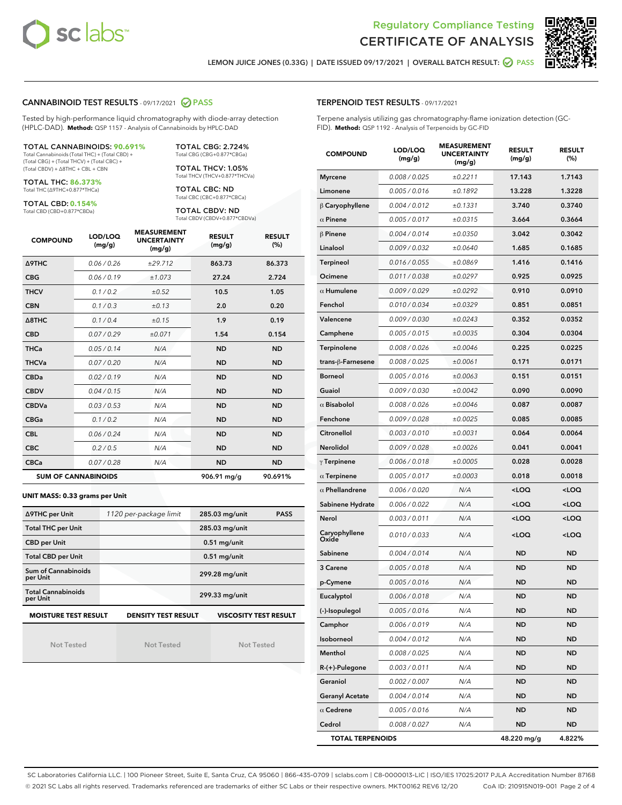



LEMON JUICE JONES (0.33G) | DATE ISSUED 09/17/2021 | OVERALL BATCH RESULT: ● PASS

#### CANNABINOID TEST RESULTS - 09/17/2021 2 PASS

Tested by high-performance liquid chromatography with diode-array detection (HPLC-DAD). **Method:** QSP 1157 - Analysis of Cannabinoids by HPLC-DAD

#### TOTAL CANNABINOIDS: **90.691%**

Total Cannabinoids (Total THC) + (Total CBD) + (Total CBG) + (Total THCV) + (Total CBC) + (Total CBDV) + ∆8THC + CBL + CBN

TOTAL THC: **86.373%** Total THC (∆9THC+0.877\*THCa)

TOTAL CBD: **0.154%**

Total CBD (CBD+0.877\*CBDa)

TOTAL CBG: 2.724% Total CBG (CBG+0.877\*CBGa)

TOTAL THCV: 1.05% Total THCV (THCV+0.877\*THCVa)

TOTAL CBC: ND Total CBC (CBC+0.877\*CBCa)

TOTAL CBDV: ND Total CBDV (CBDV+0.877\*CBDVa)

| <b>COMPOUND</b>  | LOD/LOQ<br>(mg/g)          | <b>MEASUREMENT</b><br><b>UNCERTAINTY</b><br>(mg/g) | <b>RESULT</b><br>(mg/g) | <b>RESULT</b><br>(%) |
|------------------|----------------------------|----------------------------------------------------|-------------------------|----------------------|
| <b>A9THC</b>     | 0.06 / 0.26                | ±29.712                                            | 863.73                  | 86.373               |
| <b>CBG</b>       | 0.06 / 0.19                | ±1.073                                             | 27.24                   | 2.724                |
| <b>THCV</b>      | 0.1 / 0.2                  | ±0.52                                              | 10.5                    | 1.05                 |
| <b>CBN</b>       | 0.1/0.3                    | ±0.13                                              | 2.0                     | 0.20                 |
| $\triangle$ 8THC | 0.1/0.4                    | ±0.15                                              | 1.9                     | 0.19                 |
| <b>CBD</b>       | 0.07/0.29                  | ±0.071                                             | 1.54                    | 0.154                |
| <b>THCa</b>      | 0.05/0.14                  | N/A                                                | <b>ND</b>               | <b>ND</b>            |
| <b>THCVa</b>     | 0.07/0.20                  | N/A                                                | <b>ND</b>               | <b>ND</b>            |
| <b>CBDa</b>      | 0.02/0.19                  | N/A                                                | <b>ND</b>               | <b>ND</b>            |
| <b>CBDV</b>      | 0.04 / 0.15                | N/A                                                | <b>ND</b>               | <b>ND</b>            |
| <b>CBDVa</b>     | 0.03/0.53                  | N/A                                                | <b>ND</b>               | <b>ND</b>            |
| <b>CBGa</b>      | 0.1/0.2                    | N/A                                                | <b>ND</b>               | <b>ND</b>            |
| <b>CBL</b>       | 0.06 / 0.24                | N/A                                                | <b>ND</b>               | <b>ND</b>            |
| <b>CBC</b>       | 0.2 / 0.5                  | N/A                                                | <b>ND</b>               | <b>ND</b>            |
| <b>CBCa</b>      | 0.07 / 0.28                | N/A                                                | <b>ND</b>               | <b>ND</b>            |
|                  | <b>SUM OF CANNABINOIDS</b> |                                                    | 906.91 mg/g             | 90.691%              |

#### **UNIT MASS: 0.33 grams per Unit**

| ∆9THC per Unit                                                                            | 1120 per-package limit | 285.03 mg/unit<br><b>PASS</b> |  |  |
|-------------------------------------------------------------------------------------------|------------------------|-------------------------------|--|--|
| <b>Total THC per Unit</b>                                                                 |                        | 285.03 mg/unit                |  |  |
| <b>CBD per Unit</b>                                                                       |                        | $0.51$ mg/unit                |  |  |
| <b>Total CBD per Unit</b>                                                                 |                        | $0.51$ mg/unit                |  |  |
| Sum of Cannabinoids<br>per Unit                                                           |                        | 299.28 mg/unit                |  |  |
| <b>Total Cannabinoids</b><br>per Unit                                                     |                        | 299.33 mg/unit                |  |  |
| <b>MOISTURE TEST RESULT</b><br><b>DENSITY TEST RESULT</b><br><b>VISCOSITY TEST RESULT</b> |                        |                               |  |  |

Not Tested

Not Tested

Not Tested

#### TERPENOID TEST RESULTS - 09/17/2021

Terpene analysis utilizing gas chromatography-flame ionization detection (GC-FID). **Method:** QSP 1192 - Analysis of Terpenoids by GC-FID

| <b>COMPOUND</b>                     | LOD/LOQ<br>(mg/g) | <b>MEASUREMENT</b><br><b>UNCERTAINTY</b><br>(mg/g) | <b>RESULT</b><br>(mg/g)                          | <b>RESULT</b><br>(%) |
|-------------------------------------|-------------------|----------------------------------------------------|--------------------------------------------------|----------------------|
| <b>Myrcene</b>                      | 0.008 / 0.025     | ±0.2211                                            | 17.143                                           | 1.7143               |
| Limonene                            | 0.005 / 0.016     | ±0.1892                                            | 13.228                                           | 1.3228               |
| $\upbeta$ Caryophyllene             | 0.004 / 0.012     | ±0.1331                                            | 3.740                                            | 0.3740               |
| $\alpha$ Pinene                     | 0.005 / 0.017     | ±0.0315                                            | 3.664                                            | 0.3664               |
| $\beta$ Pinene                      | 0.004 / 0.014     | ±0.0350                                            | 3.042                                            | 0.3042               |
| Linalool                            | 0.009/0.032       | ±0.0640                                            | 1.685                                            | 0.1685               |
| Terpineol                           | 0.016 / 0.055     | ±0.0869                                            | 1.416                                            | 0.1416               |
| Ocimene                             | 0.011 / 0.038     | ±0.0297                                            | 0.925                                            | 0.0925               |
| $\alpha$ Humulene                   | 0.009 / 0.029     | ±0.0292                                            | 0.910                                            | 0.0910               |
| Fenchol                             | 0.010 / 0.034     | ±0.0329                                            | 0.851                                            | 0.0851               |
| Valencene                           | 0.009 / 0.030     | ±0.0243                                            | 0.352                                            | 0.0352               |
| Camphene                            | 0.005 / 0.015     | ±0.0035                                            | 0.304                                            | 0.0304               |
| <b>Terpinolene</b>                  | 0.008 / 0.026     | ±0.0046                                            | 0.225                                            | 0.0225               |
| trans-ß-Farnesene                   | 0.008 / 0.025     | ±0.0061                                            | 0.171                                            | 0.0171               |
| <b>Borneol</b>                      | 0.005 / 0.016     | ±0.0063                                            | 0.151                                            | 0.0151               |
| Guaiol                              | 0.009 / 0.030     | ±0.0042                                            | 0.090                                            | 0.0090               |
| $\alpha$ Bisabolol                  | 0.008 / 0.026     | ±0.0046                                            | 0.087                                            | 0.0087               |
| Fenchone                            | 0.009 / 0.028     | ±0.0025                                            | 0.085                                            | 0.0085               |
| Citronellol                         | 0.003 / 0.010     | ±0.0031                                            | 0.064                                            | 0.0064               |
| Nerolidol                           | 0.009 / 0.028     | ±0.0026                                            | 0.041                                            | 0.0041               |
| $\gamma$ Terpinene                  | 0.006 / 0.018     | ±0.0005                                            | 0.028                                            | 0.0028               |
| $\alpha$ Terpinene                  | 0.005 / 0.017     | ±0.0003                                            | 0.018                                            | 0.0018               |
| $\alpha$ Phellandrene               | 0.006 / 0.020     | N/A                                                | $<$ LOQ                                          | <loq< th=""></loq<>  |
| Sabinene Hydrate                    | 0.006 / 0.022     | N/A                                                | <loq< th=""><th><loq< th=""></loq<></th></loq<>  | <loq< th=""></loq<>  |
| Nerol                               | 0.003 / 0.011     | N/A                                                | <loq< th=""><th><math>&lt;</math>LOQ</th></loq<> | $<$ LOQ              |
| Caryophyllene<br>Oxide <sup>'</sup> | 0.010 / 0.033     | N/A                                                | <loq< th=""><th><loq< th=""></loq<></th></loq<>  | <loq< th=""></loq<>  |
| Sabinene                            | 0.004 / 0.014     | N/A                                                | <b>ND</b>                                        | ND                   |
| 3 Carene                            | 0.005 / 0.018     | N/A                                                | <b>ND</b>                                        | ND                   |
| p-Cymene                            | 0.005 / 0.016     | N/A                                                | ND                                               | ND                   |
| Eucalyptol                          | 0.006 / 0.018     | N/A                                                | <b>ND</b>                                        | <b>ND</b>            |
| (-)-Isopulegol                      | 0.005 / 0.016     | N/A                                                | ND                                               | ND                   |
| Camphor                             | 0.006 / 0.019     | N/A                                                | <b>ND</b>                                        | ND                   |
| Isoborneol                          | 0.004 / 0.012     | N/A                                                | <b>ND</b>                                        | ND                   |
| Menthol                             | 0.008 / 0.025     | N/A                                                | ND                                               | ND                   |
| R-(+)-Pulegone                      | 0.003 / 0.011     | N/A                                                | ND                                               | ND                   |
| Geraniol                            | 0.002 / 0.007     | N/A                                                | ND                                               | ND                   |
| <b>Geranyl Acetate</b>              | 0.004 / 0.014     | N/A                                                | ND                                               | ND                   |
| $\alpha$ Cedrene                    | 0.005 / 0.016     | N/A                                                | ND                                               | ND                   |
| Cedrol                              | 0.008 / 0.027     | N/A                                                | <b>ND</b>                                        | ND                   |
| <b>TOTAL TERPENOIDS</b>             |                   |                                                    | 48.220 mg/g                                      | 4.822%               |

SC Laboratories California LLC. | 100 Pioneer Street, Suite E, Santa Cruz, CA 95060 | 866-435-0709 | sclabs.com | C8-0000013-LIC | ISO/IES 17025:2017 PJLA Accreditation Number 87168 © 2021 SC Labs all rights reserved. Trademarks referenced are trademarks of either SC Labs or their respective owners. MKT00162 REV6 12/20 CoA ID: 210915N019-001 Page 2 of 4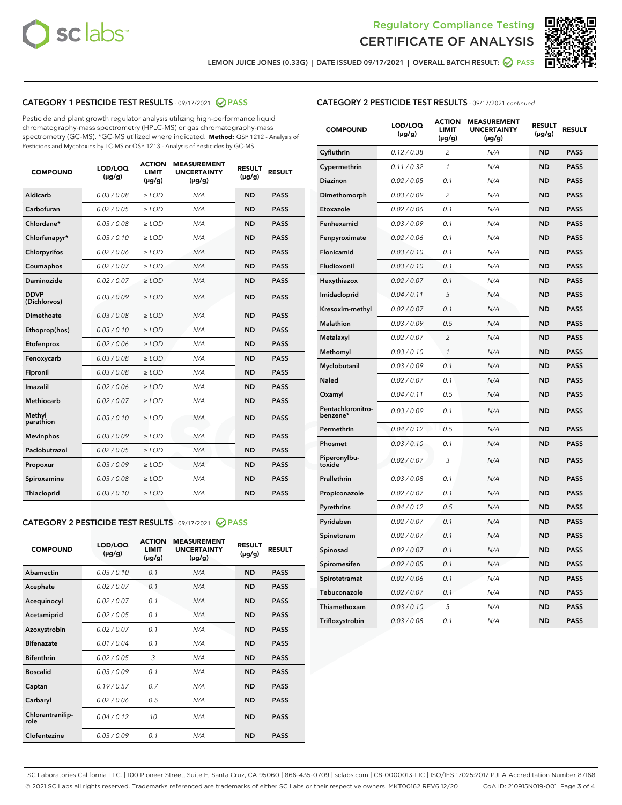



LEMON JUICE JONES (0.33G) | DATE ISSUED 09/17/2021 | OVERALL BATCH RESULT: <mark>⊘</mark> PASS

# CATEGORY 1 PESTICIDE TEST RESULTS - 09/17/2021 @ PASS

Pesticide and plant growth regulator analysis utilizing high-performance liquid chromatography-mass spectrometry (HPLC-MS) or gas chromatography-mass spectrometry (GC-MS). \*GC-MS utilized where indicated. **Method:** QSP 1212 - Analysis of Pesticides and Mycotoxins by LC-MS or QSP 1213 - Analysis of Pesticides by GC-MS

| <b>COMPOUND</b>             | LOD/LOQ<br>$(\mu g/g)$ | <b>ACTION</b><br><b>LIMIT</b><br>$(\mu g/g)$ | <b>MEASUREMENT</b><br><b>UNCERTAINTY</b><br>$(\mu g/g)$ | <b>RESULT</b><br>$(\mu g/g)$ | <b>RESULT</b> |
|-----------------------------|------------------------|----------------------------------------------|---------------------------------------------------------|------------------------------|---------------|
| Aldicarb                    | 0.03 / 0.08            | $\ge$ LOD                                    | N/A                                                     | <b>ND</b>                    | <b>PASS</b>   |
| Carbofuran                  | 0.02 / 0.05            | $\ge$ LOD                                    | N/A                                                     | <b>ND</b>                    | <b>PASS</b>   |
| Chlordane*                  | 0.03 / 0.08            | $\ge$ LOD                                    | N/A                                                     | <b>ND</b>                    | <b>PASS</b>   |
| Chlorfenapyr*               | 0.03/0.10              | $\ge$ LOD                                    | N/A                                                     | <b>ND</b>                    | <b>PASS</b>   |
| Chlorpyrifos                | 0.02/0.06              | $>$ LOD                                      | N/A                                                     | <b>ND</b>                    | <b>PASS</b>   |
| Coumaphos                   | 0.02 / 0.07            | $\ge$ LOD                                    | N/A                                                     | <b>ND</b>                    | <b>PASS</b>   |
| Daminozide                  | 0.02/0.07              | $>$ LOD                                      | N/A                                                     | <b>ND</b>                    | <b>PASS</b>   |
| <b>DDVP</b><br>(Dichlorvos) | 0.03/0.09              | $\ge$ LOD                                    | N/A                                                     | <b>ND</b>                    | <b>PASS</b>   |
| <b>Dimethoate</b>           | 0.03 / 0.08            | $\ge$ LOD                                    | N/A                                                     | <b>ND</b>                    | <b>PASS</b>   |
| Ethoprop(hos)               | 0.03/0.10              | $\ge$ LOD                                    | N/A                                                     | <b>ND</b>                    | <b>PASS</b>   |
| Etofenprox                  | 0.02 / 0.06            | $\ge$ LOD                                    | N/A                                                     | <b>ND</b>                    | <b>PASS</b>   |
| Fenoxycarb                  | 0.03 / 0.08            | $\geq$ LOD                                   | N/A                                                     | <b>ND</b>                    | <b>PASS</b>   |
| Fipronil                    | 0.03 / 0.08            | $\ge$ LOD                                    | N/A                                                     | <b>ND</b>                    | <b>PASS</b>   |
| Imazalil                    | 0.02 / 0.06            | $\ge$ LOD                                    | N/A                                                     | <b>ND</b>                    | <b>PASS</b>   |
| Methiocarb                  | 0.02 / 0.07            | $\ge$ LOD                                    | N/A                                                     | <b>ND</b>                    | <b>PASS</b>   |
| Methyl<br>parathion         | 0.03/0.10              | $\geq$ LOD                                   | N/A                                                     | <b>ND</b>                    | <b>PASS</b>   |
| <b>Mevinphos</b>            | 0.03/0.09              | $\geq$ LOD                                   | N/A                                                     | <b>ND</b>                    | <b>PASS</b>   |
| Paclobutrazol               | 0.02 / 0.05            | $\geq$ LOD                                   | N/A                                                     | <b>ND</b>                    | <b>PASS</b>   |
| Propoxur                    | 0.03/0.09              | $>$ LOD                                      | N/A                                                     | <b>ND</b>                    | <b>PASS</b>   |
| Spiroxamine                 | 0.03 / 0.08            | $\ge$ LOD                                    | N/A                                                     | <b>ND</b>                    | <b>PASS</b>   |
| Thiacloprid                 | 0.03/0.10              | $\geq$ LOD                                   | N/A                                                     | <b>ND</b>                    | <b>PASS</b>   |
|                             |                        |                                              |                                                         |                              |               |

# CATEGORY 2 PESTICIDE TEST RESULTS - 09/17/2021 @ PASS

| <b>COMPOUND</b>          | LOD/LOO<br>$(\mu g/g)$ | <b>ACTION</b><br>LIMIT<br>$(\mu g/g)$ | <b>MEASUREMENT</b><br><b>UNCERTAINTY</b><br>$(\mu g/g)$ | <b>RESULT</b><br>$(\mu g/g)$ | <b>RESULT</b> |  |
|--------------------------|------------------------|---------------------------------------|---------------------------------------------------------|------------------------------|---------------|--|
| Abamectin                | 0.03/0.10              | 0.1                                   | N/A                                                     | <b>ND</b>                    | <b>PASS</b>   |  |
| Acephate                 | 0.02/0.07              | 0.1                                   | N/A                                                     | <b>ND</b>                    | <b>PASS</b>   |  |
| Acequinocyl              | 0.02/0.07              | 0.1                                   | N/A                                                     | <b>ND</b>                    | <b>PASS</b>   |  |
| Acetamiprid              | 0.02/0.05              | 0.1                                   | N/A                                                     | <b>ND</b>                    | <b>PASS</b>   |  |
| Azoxystrobin             | 0.02/0.07              | 0.1                                   | N/A                                                     | <b>ND</b>                    | <b>PASS</b>   |  |
| <b>Bifenazate</b>        | 0.01/0.04              | 0.1                                   | N/A                                                     | <b>ND</b>                    | <b>PASS</b>   |  |
| <b>Bifenthrin</b>        | 0.02/0.05              | 3                                     | N/A                                                     | <b>ND</b>                    | <b>PASS</b>   |  |
| <b>Boscalid</b>          | 0.03/0.09              | 0.1                                   | N/A                                                     | <b>ND</b>                    | <b>PASS</b>   |  |
| Captan                   | 0.19/0.57              | 0.7                                   | N/A                                                     | <b>ND</b>                    | <b>PASS</b>   |  |
| Carbaryl                 | 0.02/0.06              | 0.5                                   | N/A                                                     | <b>ND</b>                    | <b>PASS</b>   |  |
| Chlorantranilip-<br>role | 0.04/0.12              | 10                                    | N/A                                                     | <b>ND</b>                    | <b>PASS</b>   |  |
| Clofentezine             | 0.03/0.09              | 0.1                                   | N/A                                                     | <b>ND</b>                    | <b>PASS</b>   |  |

### CATEGORY 2 PESTICIDE TEST RESULTS - 09/17/2021 continued

| <b>COMPOUND</b>               | LOD/LOQ<br>$(\mu g/g)$ | <b>ACTION</b><br>LIMIT<br>(µg/g) | <b>MEASUREMENT</b><br><b>UNCERTAINTY</b><br>(µg/g) | <b>RESULT</b><br>$(\mu g/g)$ | <b>RESULT</b> |
|-------------------------------|------------------------|----------------------------------|----------------------------------------------------|------------------------------|---------------|
| Cyfluthrin                    | 0.12 / 0.38            | $\overline{2}$                   | N/A                                                | <b>ND</b>                    | <b>PASS</b>   |
| Cypermethrin                  | 0.11/0.32              | 1                                | N/A                                                | <b>ND</b>                    | <b>PASS</b>   |
| Diazinon                      | 0.02 / 0.05            | 0.1                              | N/A                                                | <b>ND</b>                    | <b>PASS</b>   |
| Dimethomorph                  | 0.03 / 0.09            | $\overline{2}$                   | N/A                                                | <b>ND</b>                    | <b>PASS</b>   |
| Etoxazole                     | 0.02 / 0.06            | 0.1                              | N/A                                                | <b>ND</b>                    | <b>PASS</b>   |
| Fenhexamid                    | 0.03 / 0.09            | 0.1                              | N/A                                                | <b>ND</b>                    | <b>PASS</b>   |
| Fenpyroximate                 | 0.02 / 0.06            | 0.1                              | N/A                                                | <b>ND</b>                    | <b>PASS</b>   |
| Flonicamid                    | 0.03 / 0.10            | 0.1                              | N/A                                                | <b>ND</b>                    | <b>PASS</b>   |
| Fludioxonil                   | 0.03 / 0.10            | 0.1                              | N/A                                                | <b>ND</b>                    | <b>PASS</b>   |
| Hexythiazox                   | 0.02 / 0.07            | 0.1                              | N/A                                                | <b>ND</b>                    | <b>PASS</b>   |
| Imidacloprid                  | 0.04 / 0.11            | 5                                | N/A                                                | <b>ND</b>                    | <b>PASS</b>   |
| Kresoxim-methyl               | 0.02 / 0.07            | 0.1                              | N/A                                                | <b>ND</b>                    | <b>PASS</b>   |
| Malathion                     | 0.03 / 0.09            | 0.5                              | N/A                                                | <b>ND</b>                    | <b>PASS</b>   |
| Metalaxyl                     | 0.02 / 0.07            | $\overline{c}$                   | N/A                                                | <b>ND</b>                    | <b>PASS</b>   |
| Methomyl                      | 0.03 / 0.10            | 1                                | N/A                                                | <b>ND</b>                    | <b>PASS</b>   |
| Myclobutanil                  | 0.03 / 0.09            | 0.1                              | N/A                                                | <b>ND</b>                    | <b>PASS</b>   |
| Naled                         | 0.02 / 0.07            | 0.1                              | N/A                                                | <b>ND</b>                    | <b>PASS</b>   |
| Oxamyl                        | 0.04 / 0.11            | 0.5                              | N/A                                                | ND                           | <b>PASS</b>   |
| Pentachloronitro-<br>benzene* | 0.03 / 0.09            | 0.1                              | N/A                                                | <b>ND</b>                    | <b>PASS</b>   |
| Permethrin                    | 0.04 / 0.12            | 0.5                              | N/A                                                | <b>ND</b>                    | <b>PASS</b>   |
| Phosmet                       | 0.03 / 0.10            | 0.1                              | N/A                                                | <b>ND</b>                    | <b>PASS</b>   |
| Piperonylbu-<br>toxide        | 0.02 / 0.07            | 3                                | N/A                                                | <b>ND</b>                    | <b>PASS</b>   |
| Prallethrin                   | 0.03 / 0.08            | 0.1                              | N/A                                                | <b>ND</b>                    | <b>PASS</b>   |
| Propiconazole                 | 0.02 / 0.07            | 0.1                              | N/A                                                | <b>ND</b>                    | <b>PASS</b>   |
| Pyrethrins                    | 0.04 / 0.12            | 0.5                              | N/A                                                | <b>ND</b>                    | <b>PASS</b>   |
| Pyridaben                     | 0.02 / 0.07            | 0.1                              | N/A                                                | <b>ND</b>                    | <b>PASS</b>   |
| Spinetoram                    | 0.02 / 0.07            | 0.1                              | N/A                                                | <b>ND</b>                    | <b>PASS</b>   |
| Spinosad                      | 0.02 / 0.07            | 0.1                              | N/A                                                | <b>ND</b>                    | <b>PASS</b>   |
| Spiromesifen                  | 0.02 / 0.05            | 0.1                              | N/A                                                | ND                           | <b>PASS</b>   |
| Spirotetramat                 | 0.02 / 0.06            | 0.1                              | N/A                                                | <b>ND</b>                    | <b>PASS</b>   |
| Tebuconazole                  | 0.02 / 0.07            | 0.1                              | N/A                                                | <b>ND</b>                    | <b>PASS</b>   |
| Thiamethoxam                  | 0.03 / 0.10            | 5                                | N/A                                                | <b>ND</b>                    | <b>PASS</b>   |
| Trifloxystrobin               | 0.03 / 0.08            | 0.1                              | N/A                                                | <b>ND</b>                    | <b>PASS</b>   |

SC Laboratories California LLC. | 100 Pioneer Street, Suite E, Santa Cruz, CA 95060 | 866-435-0709 | sclabs.com | C8-0000013-LIC | ISO/IES 17025:2017 PJLA Accreditation Number 87168 © 2021 SC Labs all rights reserved. Trademarks referenced are trademarks of either SC Labs or their respective owners. MKT00162 REV6 12/20 CoA ID: 210915N019-001 Page 3 of 4